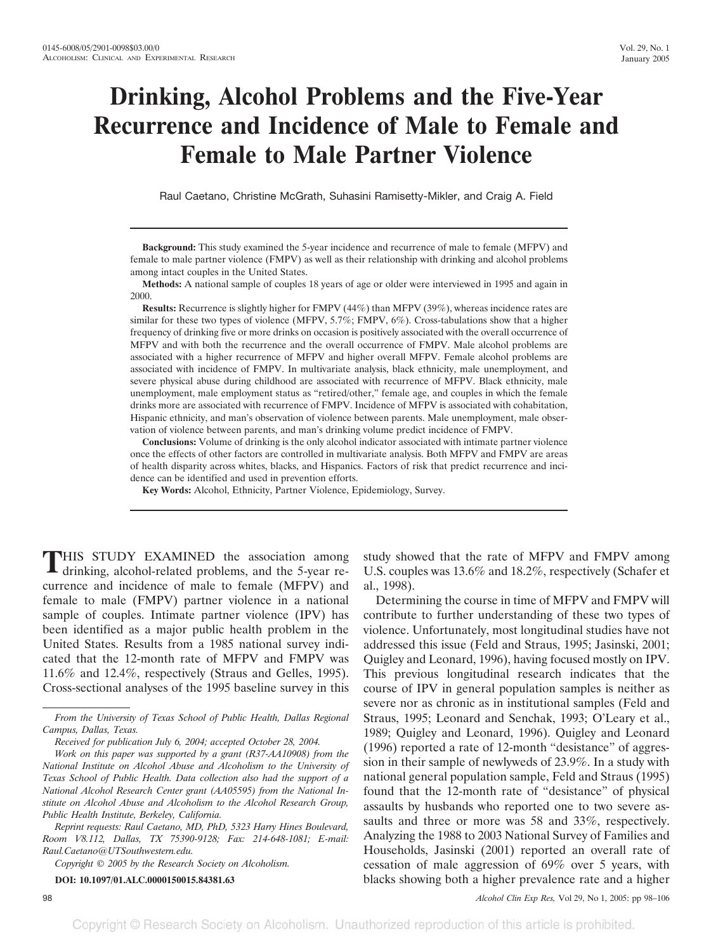# **Drinking, Alcohol Problems and the Five-Year Recurrence and Incidence of Male to Female and Female to Male Partner Violence**

Raul Caetano, Christine McGrath, Suhasini Ramisetty-Mikler, and Craig A. Field

**Background:** This study examined the 5-year incidence and recurrence of male to female (MFPV) and female to male partner violence (FMPV) as well as their relationship with drinking and alcohol problems among intact couples in the United States.

**Methods:** A national sample of couples 18 years of age or older were interviewed in 1995 and again in 2000.

**Results:** Recurrence is slightly higher for FMPV (44%) than MFPV (39%), whereas incidence rates are similar for these two types of violence (MFPV, 5.7%; FMPV, 6%). Cross-tabulations show that a higher frequency of drinking five or more drinks on occasion is positively associated with the overall occurrence of MFPV and with both the recurrence and the overall occurrence of FMPV. Male alcohol problems are associated with a higher recurrence of MFPV and higher overall MFPV. Female alcohol problems are associated with incidence of FMPV. In multivariate analysis, black ethnicity, male unemployment, and severe physical abuse during childhood are associated with recurrence of MFPV. Black ethnicity, male unemployment, male employment status as "retired/other," female age, and couples in which the female drinks more are associated with recurrence of FMPV. Incidence of MFPV is associated with cohabitation, Hispanic ethnicity, and man's observation of violence between parents. Male unemployment, male observation of violence between parents, and man's drinking volume predict incidence of FMPV.

**Conclusions:** Volume of drinking is the only alcohol indicator associated with intimate partner violence once the effects of other factors are controlled in multivariate analysis. Both MFPV and FMPV are areas of health disparity across whites, blacks, and Hispanics. Factors of risk that predict recurrence and incidence can be identified and used in prevention efforts.

**Key Words:** Alcohol, Ethnicity, Partner Violence, Epidemiology, Survey.

THIS STUDY EXAMINED the association among drinking, alcohol-related problems, and the 5-year recurrence and incidence of male to female (MFPV) and female to male (FMPV) partner violence in a national sample of couples. Intimate partner violence (IPV) has been identified as a major public health problem in the United States. Results from a 1985 national survey indicated that the 12-month rate of MFPV and FMPV was 11.6% and 12.4%, respectively (Straus and Gelles, 1995). Cross-sectional analyses of the 1995 baseline survey in this

*Reprint requests: Raul Caetano, MD, PhD, 5323 Harry Hines Boulevard, Room V8.112, Dallas, TX 75390-9128; Fax: 214-648-1081; E-mail: Raul.Caetano@UTSouthwestern.edu.*

*Copyright © 2005 by the Research Society on Alcoholism.*

**DOI: 10.1097/01.ALC.0000150015.84381.63**

study showed that the rate of MFPV and FMPV among U.S. couples was 13.6% and 18.2%, respectively (Schafer et al., 1998).

Determining the course in time of MFPV and FMPV will contribute to further understanding of these two types of violence. Unfortunately, most longitudinal studies have not addressed this issue (Feld and Straus, 1995; Jasinski, 2001; Quigley and Leonard, 1996), having focused mostly on IPV. This previous longitudinal research indicates that the course of IPV in general population samples is neither as severe nor as chronic as in institutional samples (Feld and Straus, 1995; Leonard and Senchak, 1993; O'Leary et al., 1989; Quigley and Leonard, 1996). Quigley and Leonard (1996) reported a rate of 12-month "desistance" of aggression in their sample of newlyweds of 23.9%. In a study with national general population sample, Feld and Straus (1995) found that the 12-month rate of "desistance" of physical assaults by husbands who reported one to two severe assaults and three or more was 58 and 33%, respectively. Analyzing the 1988 to 2003 National Survey of Families and Households, Jasinski (2001) reported an overall rate of cessation of male aggression of 69% over 5 years, with blacks showing both a higher prevalence rate and a higher

98 *Alcohol Clin Exp Res,* Vol 29, No 1, 2005: pp 98–106

*From the University of Texas School of Public Health, Dallas Regional Campus, Dallas, Texas.*

*Received for publication July 6, 2004; accepted October 28, 2004.*

*Work on this paper was supported by a grant (R37-AA10908) from the National Institute on Alcohol Abuse and Alcoholism to the University of Texas School of Public Health. Data collection also had the support of a National Alcohol Research Center grant (AA05595) from the National Institute on Alcohol Abuse and Alcoholism to the Alcohol Research Group, Public Health Institute, Berkeley, California.*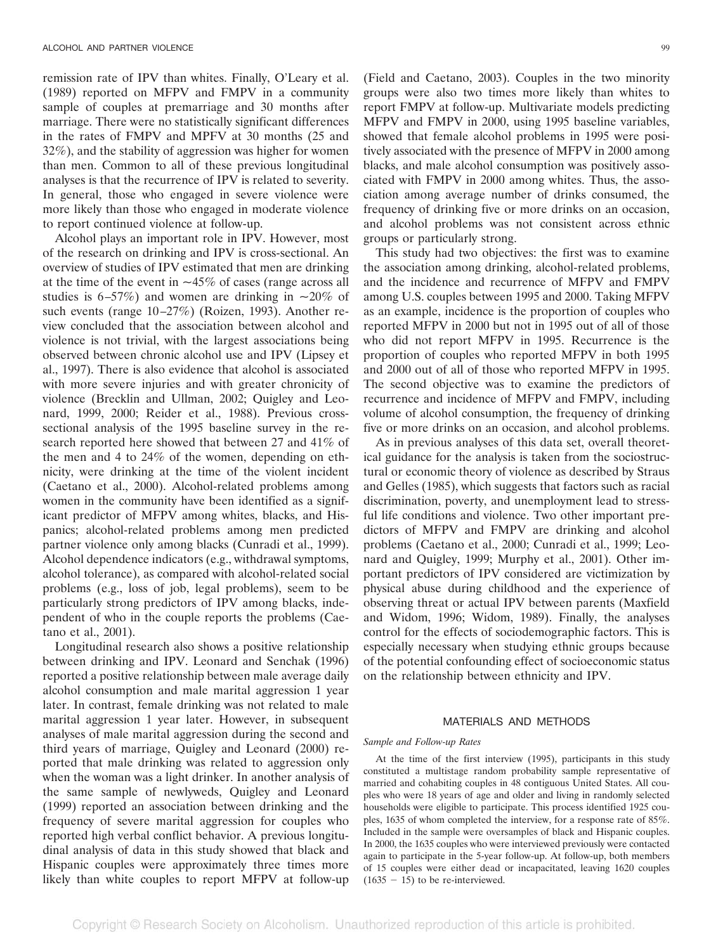remission rate of IPV than whites. Finally, O'Leary et al. (1989) reported on MFPV and FMPV in a community sample of couples at premarriage and 30 months after marriage. There were no statistically significant differences in the rates of FMPV and MPFV at 30 months (25 and 32%), and the stability of aggression was higher for women than men. Common to all of these previous longitudinal analyses is that the recurrence of IPV is related to severity. In general, those who engaged in severe violence were more likely than those who engaged in moderate violence to report continued violence at follow-up.

Alcohol plays an important role in IPV. However, most of the research on drinking and IPV is cross-sectional. An overview of studies of IPV estimated that men are drinking at the time of the event in  $\sim$ 45% of cases (range across all studies is  $6-57\%$ ) and women are drinking in  $\sim 20\%$  of such events (range 10–27%) (Roizen, 1993). Another review concluded that the association between alcohol and violence is not trivial, with the largest associations being observed between chronic alcohol use and IPV (Lipsey et al., 1997). There is also evidence that alcohol is associated with more severe injuries and with greater chronicity of violence (Brecklin and Ullman, 2002; Quigley and Leonard, 1999, 2000; Reider et al., 1988). Previous crosssectional analysis of the 1995 baseline survey in the research reported here showed that between 27 and 41% of the men and 4 to 24% of the women, depending on ethnicity, were drinking at the time of the violent incident (Caetano et al., 2000). Alcohol-related problems among women in the community have been identified as a significant predictor of MFPV among whites, blacks, and Hispanics; alcohol-related problems among men predicted partner violence only among blacks (Cunradi et al., 1999). Alcohol dependence indicators (e.g., withdrawal symptoms, alcohol tolerance), as compared with alcohol-related social problems (e.g., loss of job, legal problems), seem to be particularly strong predictors of IPV among blacks, independent of who in the couple reports the problems (Caetano et al., 2001).

Longitudinal research also shows a positive relationship between drinking and IPV. Leonard and Senchak (1996) reported a positive relationship between male average daily alcohol consumption and male marital aggression 1 year later. In contrast, female drinking was not related to male marital aggression 1 year later. However, in subsequent analyses of male marital aggression during the second and third years of marriage, Quigley and Leonard (2000) reported that male drinking was related to aggression only when the woman was a light drinker. In another analysis of the same sample of newlyweds, Quigley and Leonard (1999) reported an association between drinking and the frequency of severe marital aggression for couples who reported high verbal conflict behavior. A previous longitudinal analysis of data in this study showed that black and Hispanic couples were approximately three times more likely than white couples to report MFPV at follow-up (Field and Caetano, 2003). Couples in the two minority groups were also two times more likely than whites to report FMPV at follow-up. Multivariate models predicting MFPV and FMPV in 2000, using 1995 baseline variables, showed that female alcohol problems in 1995 were positively associated with the presence of MFPV in 2000 among blacks, and male alcohol consumption was positively associated with FMPV in 2000 among whites. Thus, the association among average number of drinks consumed, the frequency of drinking five or more drinks on an occasion, and alcohol problems was not consistent across ethnic groups or particularly strong.

This study had two objectives: the first was to examine the association among drinking, alcohol-related problems, and the incidence and recurrence of MFPV and FMPV among U.S. couples between 1995 and 2000. Taking MFPV as an example, incidence is the proportion of couples who reported MFPV in 2000 but not in 1995 out of all of those who did not report MFPV in 1995. Recurrence is the proportion of couples who reported MFPV in both 1995 and 2000 out of all of those who reported MFPV in 1995. The second objective was to examine the predictors of recurrence and incidence of MFPV and FMPV, including volume of alcohol consumption, the frequency of drinking five or more drinks on an occasion, and alcohol problems.

As in previous analyses of this data set, overall theoretical guidance for the analysis is taken from the sociostructural or economic theory of violence as described by Straus and Gelles (1985), which suggests that factors such as racial discrimination, poverty, and unemployment lead to stressful life conditions and violence. Two other important predictors of MFPV and FMPV are drinking and alcohol problems (Caetano et al., 2000; Cunradi et al., 1999; Leonard and Quigley, 1999; Murphy et al., 2001). Other important predictors of IPV considered are victimization by physical abuse during childhood and the experience of observing threat or actual IPV between parents (Maxfield and Widom, 1996; Widom, 1989). Finally, the analyses control for the effects of sociodemographic factors. This is especially necessary when studying ethnic groups because of the potential confounding effect of socioeconomic status on the relationship between ethnicity and IPV.

#### MATERIALS AND METHODS

#### *Sample and Follow-up Rates*

At the time of the first interview (1995), participants in this study constituted a multistage random probability sample representative of married and cohabiting couples in 48 contiguous United States. All couples who were 18 years of age and older and living in randomly selected households were eligible to participate. This process identified 1925 couples, 1635 of whom completed the interview, for a response rate of 85%. Included in the sample were oversamples of black and Hispanic couples. In 2000, the 1635 couples who were interviewed previously were contacted again to participate in the 5-year follow-up. At follow-up, both members of 15 couples were either dead or incapacitated, leaving 1620 couples  $(1635 - 15)$  to be re-interviewed.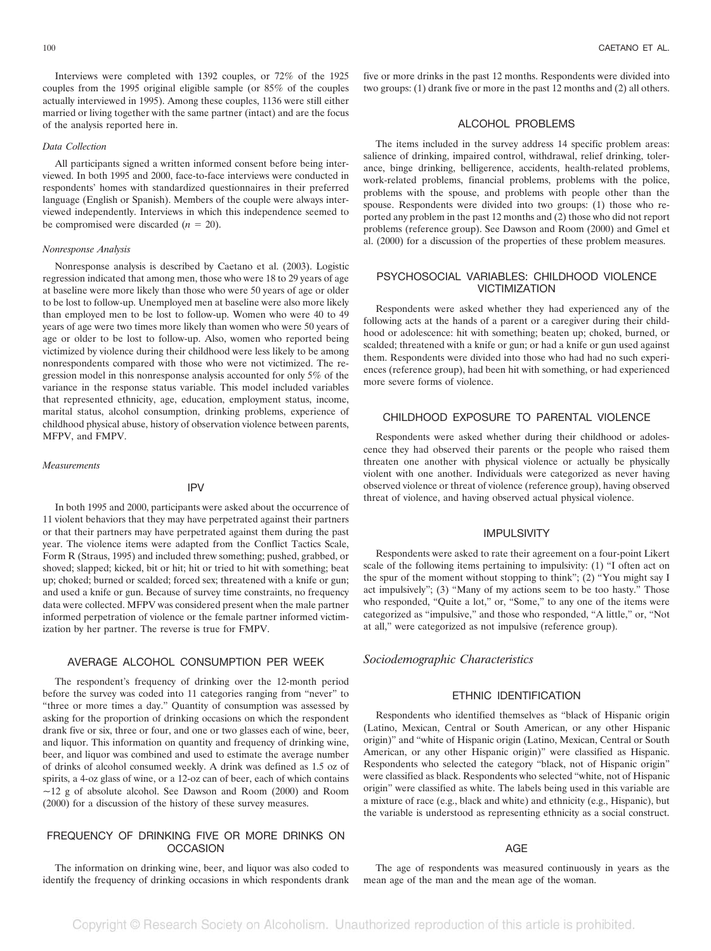Interviews were completed with 1392 couples, or 72% of the 1925 couples from the 1995 original eligible sample (or 85% of the couples actually interviewed in 1995). Among these couples, 1136 were still either married or living together with the same partner (intact) and are the focus of the analysis reported here in.

#### *Data Collection*

All participants signed a written informed consent before being interviewed. In both 1995 and 2000, face-to-face interviews were conducted in respondents' homes with standardized questionnaires in their preferred language (English or Spanish). Members of the couple were always interviewed independently. Interviews in which this independence seemed to be compromised were discarded  $(n = 20)$ .

#### *Nonresponse Analysis*

Nonresponse analysis is described by Caetano et al. (2003). Logistic regression indicated that among men, those who were 18 to 29 years of age at baseline were more likely than those who were 50 years of age or older to be lost to follow-up. Unemployed men at baseline were also more likely than employed men to be lost to follow-up. Women who were 40 to 49 years of age were two times more likely than women who were 50 years of age or older to be lost to follow-up. Also, women who reported being victimized by violence during their childhood were less likely to be among nonrespondents compared with those who were not victimized. The regression model in this nonresponse analysis accounted for only 5% of the variance in the response status variable. This model included variables that represented ethnicity, age, education, employment status, income, marital status, alcohol consumption, drinking problems, experience of childhood physical abuse, history of observation violence between parents, MFPV, and FMPV.

#### *Measurements*

#### IPV

In both 1995 and 2000, participants were asked about the occurrence of 11 violent behaviors that they may have perpetrated against their partners or that their partners may have perpetrated against them during the past year. The violence items were adapted from the Conflict Tactics Scale, Form R (Straus, 1995) and included threw something; pushed, grabbed, or shoved; slapped; kicked, bit or hit; hit or tried to hit with something; beat up; choked; burned or scalded; forced sex; threatened with a knife or gun; and used a knife or gun. Because of survey time constraints, no frequency data were collected. MFPV was considered present when the male partner informed perpetration of violence or the female partner informed victimization by her partner. The reverse is true for FMPV.

#### AVERAGE ALCOHOL CONSUMPTION PER WEEK

The respondent's frequency of drinking over the 12-month period before the survey was coded into 11 categories ranging from "never" to "three or more times a day." Quantity of consumption was assessed by asking for the proportion of drinking occasions on which the respondent drank five or six, three or four, and one or two glasses each of wine, beer, and liquor. This information on quantity and frequency of drinking wine, beer, and liquor was combined and used to estimate the average number of drinks of alcohol consumed weekly. A drink was defined as 1.5 oz of spirits, a 4-oz glass of wine, or a 12-oz can of beer, each of which contains  $\sim$ 12 g of absolute alcohol. See Dawson and Room (2000) and Room (2000) for a discussion of the history of these survey measures.

## FREQUENCY OF DRINKING FIVE OR MORE DRINKS ON **OCCASION**

The information on drinking wine, beer, and liquor was also coded to identify the frequency of drinking occasions in which respondents drank five or more drinks in the past 12 months. Respondents were divided into two groups: (1) drank five or more in the past 12 months and (2) all others.

## ALCOHOL PROBLEMS

The items included in the survey address 14 specific problem areas: salience of drinking, impaired control, withdrawal, relief drinking, tolerance, binge drinking, belligerence, accidents, health-related problems, work-related problems, financial problems, problems with the police, problems with the spouse, and problems with people other than the spouse. Respondents were divided into two groups: (1) those who reported any problem in the past 12 months and (2) those who did not report problems (reference group). See Dawson and Room (2000) and Gmel et al. (2000) for a discussion of the properties of these problem measures.

## PSYCHOSOCIAL VARIABLES: CHILDHOOD VIOLENCE VICTIMIZATION

Respondents were asked whether they had experienced any of the following acts at the hands of a parent or a caregiver during their childhood or adolescence: hit with something; beaten up; choked, burned, or scalded; threatened with a knife or gun; or had a knife or gun used against them. Respondents were divided into those who had had no such experiences (reference group), had been hit with something, or had experienced more severe forms of violence.

# CHILDHOOD EXPOSURE TO PARENTAL VIOL FNCF

Respondents were asked whether during their childhood or adolescence they had observed their parents or the people who raised them threaten one another with physical violence or actually be physically violent with one another. Individuals were categorized as never having observed violence or threat of violence (reference group), having observed threat of violence, and having observed actual physical violence.

#### **IMPULSIVITY**

Respondents were asked to rate their agreement on a four-point Likert scale of the following items pertaining to impulsivity: (1) "I often act on the spur of the moment without stopping to think"; (2) "You might say I act impulsively"; (3) "Many of my actions seem to be too hasty." Those who responded, "Quite a lot," or, "Some," to any one of the items were categorized as "impulsive," and those who responded, "A little," or, "Not at all," were categorized as not impulsive (reference group).

# *Sociodemographic Characteristics*

## ETHNIC IDENTIFICATION

Respondents who identified themselves as "black of Hispanic origin (Latino, Mexican, Central or South American, or any other Hispanic origin)" and "white of Hispanic origin (Latino, Mexican, Central or South American, or any other Hispanic origin)" were classified as Hispanic. Respondents who selected the category "black, not of Hispanic origin" were classified as black. Respondents who selected "white, not of Hispanic origin" were classified as white. The labels being used in this variable are a mixture of race (e.g., black and white) and ethnicity (e.g., Hispanic), but the variable is understood as representing ethnicity as a social construct.

# AGE

The age of respondents was measured continuously in years as the mean age of the man and the mean age of the woman.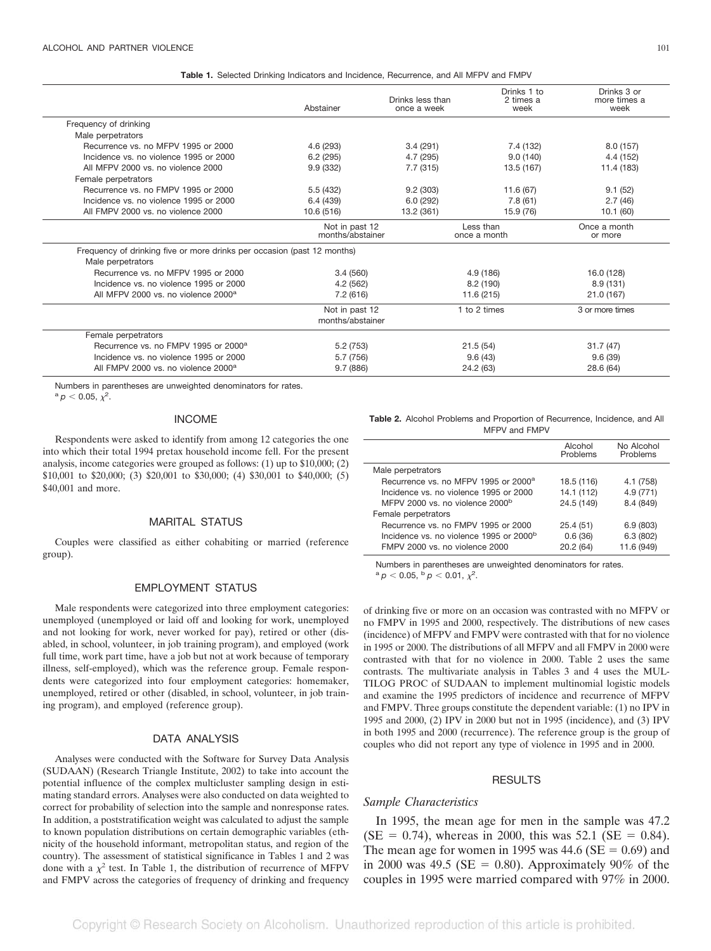|  |  |  |  |  |  | Table 1. Selected Drinking Indicators and Incidence, Recurrence, and All MFPV and FMPV |  |  |  |
|--|--|--|--|--|--|----------------------------------------------------------------------------------------|--|--|--|
|--|--|--|--|--|--|----------------------------------------------------------------------------------------|--|--|--|

|                                                                         | Abstainer                          | Drinks less than<br>once a week | Drinks 1 to<br>2 times a<br>week | Drinks 3 or<br>more times a<br>week |
|-------------------------------------------------------------------------|------------------------------------|---------------------------------|----------------------------------|-------------------------------------|
| Frequency of drinking                                                   |                                    |                                 |                                  |                                     |
| Male perpetrators                                                       |                                    |                                 |                                  |                                     |
| Recurrence vs. no MFPV 1995 or 2000                                     | 4.6(293)                           | 3.4(291)                        | 7.4 (132)                        | 8.0(157)                            |
| Incidence vs. no violence 1995 or 2000                                  | 6.2(295)                           | 4.7 (295)                       | 9.0(140)                         | 4.4 (152)                           |
| All MFPV 2000 vs. no violence 2000                                      | 9.9(332)                           | 7.7 (315)                       | 13.5 (167)                       | 11.4 (183)                          |
| Female perpetrators                                                     |                                    |                                 |                                  |                                     |
| Recurrence vs. no FMPV 1995 or 2000                                     | 5.5(432)                           | 9.2(303)                        | 11.6 (67)                        | 9.1(52)                             |
| Incidence vs. no violence 1995 or 2000                                  | 6.4 (439)                          | 6.0(292)                        | 7.8(61)                          | 2.7(46)                             |
| All FMPV 2000 vs. no violence 2000                                      | 10.6(516)                          | 13.2 (361)                      | 15.9 (76)                        | 10.1(60)                            |
|                                                                         | Not in past 12<br>months/abstainer | Less than<br>once a month       |                                  | Once a month<br>or more             |
| Frequency of drinking five or more drinks per occasion (past 12 months) |                                    |                                 |                                  |                                     |
| Male perpetrators                                                       |                                    |                                 |                                  |                                     |
| Recurrence vs. no MFPV 1995 or 2000                                     | 3.4(560)                           |                                 | 4.9 (186)                        | 16.0 (128)                          |
| Incidence vs. no violence 1995 or 2000                                  | 4.2(562)                           |                                 | 8.2(190)                         | 8.9 (131)                           |
| All MFPV 2000 vs. no violence 2000 <sup>a</sup>                         | 7.2 (616)                          | 11.6(215)                       |                                  | 21.0 (167)                          |
|                                                                         | Not in past 12<br>months/abstainer |                                 | 1 to 2 times                     | 3 or more times                     |
| Female perpetrators                                                     |                                    |                                 |                                  |                                     |
| Recurrence vs. no FMPV 1995 or 2000 <sup>a</sup>                        | 5.2(753)                           |                                 | 21.5(54)                         | 31.7(47)                            |
| Incidence vs. no violence 1995 or 2000                                  | 5.7 (756)                          |                                 | 9.6(43)                          | 9.6(39)                             |
| All FMPV 2000 vs. no violence 2000 <sup>a</sup>                         | 9.7(886)                           |                                 | 24.2 (63)                        | 28.6 (64)                           |

Numbers in parentheses are unweighted denominators for rates.  $a p < 0.05, \chi^2$ .

#### INCOME

**Table 2.** Alcohol Problems and Proportion of Recurrence, Incidence, and All MFPV and FMPV

Respondents were asked to identify from among 12 categories the one into which their total 1994 pretax household income fell. For the present analysis, income categories were grouped as follows: (1) up to \$10,000; (2) \$10,001 to \$20,000; (3) \$20,001 to \$30,000; (4) \$30,001 to \$40,000; (5) \$40,001 and more.

## MARITAL STATUS

Couples were classified as either cohabiting or married (reference group).

#### EMPLOYMENT STATUS

Male respondents were categorized into three employment categories: unemployed (unemployed or laid off and looking for work, unemployed and not looking for work, never worked for pay), retired or other (disabled, in school, volunteer, in job training program), and employed (work full time, work part time, have a job but not at work because of temporary illness, self-employed), which was the reference group. Female respondents were categorized into four employment categories: homemaker, unemployed, retired or other (disabled, in school, volunteer, in job training program), and employed (reference group).

#### DATA ANALYSIS

Analyses were conducted with the Software for Survey Data Analysis (SUDAAN) (Research Triangle Institute, 2002) to take into account the potential influence of the complex multicluster sampling design in estimating standard errors. Analyses were also conducted on data weighted to correct for probability of selection into the sample and nonresponse rates. In addition, a poststratification weight was calculated to adjust the sample to known population distributions on certain demographic variables (ethnicity of the household informant, metropolitan status, and region of the country). The assessment of statistical significance in Tables 1 and 2 was done with a  $\chi^2$  test. In Table 1, the distribution of recurrence of MFPV and FMPV across the categories of frequency of drinking and frequency

Alcohol Problems No Alcohol Problems Male perpetrators Recurrence vs. no MFPV 1995 or 2000<sup>a</sup> 18.5 (116) 4.1 (758) Incidence vs. no violence 1995 or 2000 14.1 (112) 4.9 (771) MFPV 2000 vs. no violence  $2000^b$  24.5 (149) 8.4 (849) Female perpetrators Recurrence vs. no FMPV 1995 or 2000 25.4 (51) 6.9 (803) Incidence vs. no violence 1995 or  $2000<sup>b</sup>$  0.6 (36) 6.3 (802) FMPV 2000 vs. no violence 2000 20.2 (64) 11.6 (949)

Numbers in parentheses are unweighted denominators for rates.

 $a p < 0.05$ ,  $b p < 0.01$ ,  $\chi^2$ .

of drinking five or more on an occasion was contrasted with no MFPV or no FMPV in 1995 and 2000, respectively. The distributions of new cases (incidence) of MFPV and FMPV were contrasted with that for no violence in 1995 or 2000. The distributions of all MFPV and all FMPV in 2000 were contrasted with that for no violence in 2000. Table 2 uses the same contrasts. The multivariate analysis in Tables 3 and 4 uses the MUL-TILOG PROC of SUDAAN to implement multinomial logistic models and examine the 1995 predictors of incidence and recurrence of MFPV and FMPV. Three groups constitute the dependent variable: (1) no IPV in 1995 and 2000, (2) IPV in 2000 but not in 1995 (incidence), and (3) IPV in both 1995 and 2000 (recurrence). The reference group is the group of couples who did not report any type of violence in 1995 and in 2000.

#### RESULTS

## *Sample Characteristics*

In 1995, the mean age for men in the sample was 47.2  $(SE = 0.74)$ , whereas in 2000, this was 52.1 (SE = 0.84). The mean age for women in 1995 was  $44.6$  (SE = 0.69) and in 2000 was 49.5 ( $SE = 0.80$ ). Approximately 90% of the couples in 1995 were married compared with 97% in 2000.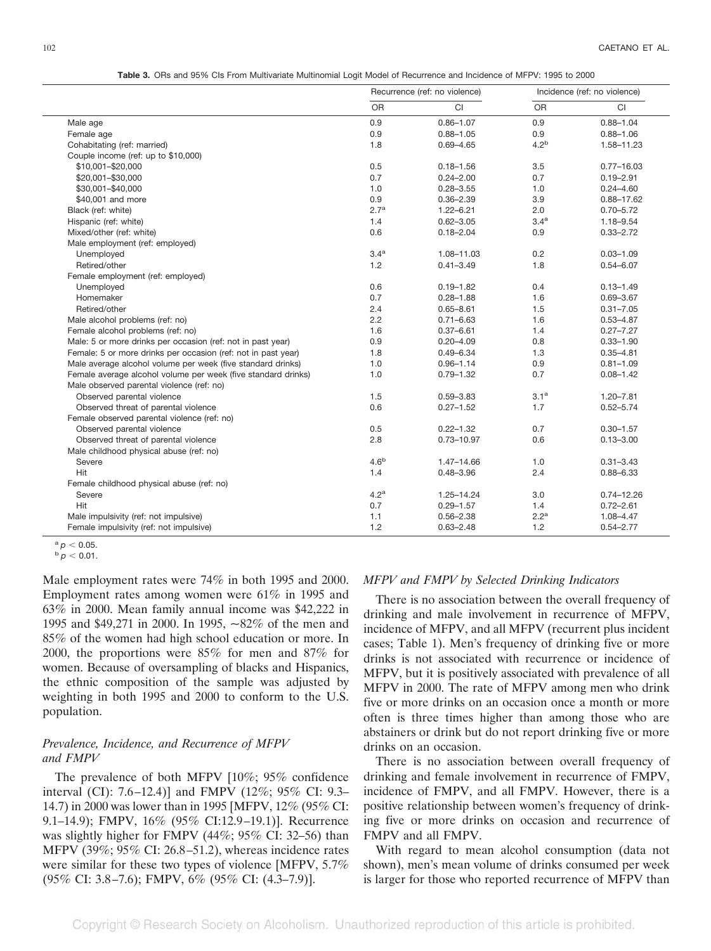|  |  | Table 3. ORs and 95% Cls From Multivariate Multinomial Logit Model of Recurrence and Incidence of MFPV: 1995 to 2000 |  |
|--|--|----------------------------------------------------------------------------------------------------------------------|--|
|  |  |                                                                                                                      |  |

|                                                               | Recurrence (ref: no violence) |                | Incidence (ref: no violence) |                |
|---------------------------------------------------------------|-------------------------------|----------------|------------------------------|----------------|
|                                                               | <b>OR</b>                     | CI             | <b>OR</b>                    | CI             |
| Male age                                                      | 0.9                           | $0.86 - 1.07$  | 0.9                          | $0.88 - 1.04$  |
| Female age                                                    | 0.9                           | $0.88 - 1.05$  | 0.9                          | $0.88 - 1.06$  |
| Cohabitating (ref: married)                                   | 1.8                           | $0.69 - 4.65$  | 4.2 <sup>b</sup>             | 1.58-11.23     |
| Couple income (ref: up to \$10,000)                           |                               |                |                              |                |
| \$10,001-\$20,000                                             | 0.5                           | $0.18 - 1.56$  | 3.5                          | $0.77 - 16.03$ |
| \$20,001-\$30,000                                             | 0.7                           | $0.24 - 2.00$  | 0.7                          | $0.19 - 2.91$  |
| \$30,001-\$40,000                                             | 1.0                           | $0.28 - 3.55$  | 1.0                          | $0.24 - 4.60$  |
| \$40,001 and more                                             | 0.9                           | $0.36 - 2.39$  | 3.9                          | $0.88 - 17.62$ |
| Black (ref: white)                                            | 2.7 <sup>a</sup>              | $1.22 - 6.21$  | 2.0                          | $0.70 - 5.72$  |
| Hispanic (ref: white)                                         | 1.4                           | $0.62 - 3.05$  | 3.4 <sup>a</sup>             | 1.18-9.54      |
| Mixed/other (ref: white)                                      | 0.6                           | $0.18 - 2.04$  | 0.9                          | $0.33 - 2.72$  |
| Male employment (ref: employed)                               |                               |                |                              |                |
| Unemployed                                                    | 3.4 <sup>a</sup>              | 1.08-11.03     | 0.2                          | $0.03 - 1.09$  |
| Retired/other                                                 | 1.2                           | $0.41 - 3.49$  | 1.8                          | $0.54 - 6.07$  |
| Female employment (ref: employed)                             |                               |                |                              |                |
| Unemployed                                                    | 0.6                           | $0.19 - 1.82$  | 0.4                          | $0.13 - 1.49$  |
| Homemaker                                                     | 0.7                           | $0.28 - 1.88$  | 1.6                          | $0.69 - 3.67$  |
| Retired/other                                                 | 2.4                           | $0.65 - 8.61$  | 1.5                          | $0.31 - 7.05$  |
| Male alcohol problems (ref: no)                               | 2.2                           | $0.71 - 6.63$  | 1.6                          | $0.53 - 4.87$  |
| Female alcohol problems (ref: no)                             | 1.6                           | $0.37 - 6.61$  | 1.4                          | $0.27 - 7.27$  |
| Male: 5 or more drinks per occasion (ref: not in past year)   | 0.9                           | $0.20 - 4.09$  | 0.8                          | $0.33 - 1.90$  |
| Female: 5 or more drinks per occasion (ref: not in past year) | 1.8                           | $0.49 - 6.34$  | 1.3                          | $0.35 - 4.81$  |
| Male average alcohol volume per week (five standard drinks)   | 1.0                           | $0.96 - 1.14$  | 0.9                          | $0.81 - 1.09$  |
| Female average alcohol volume per week (five standard drinks) | 1.0                           | $0.79 - 1.32$  | 0.7                          | $0.08 - 1.42$  |
| Male observed parental violence (ref: no)                     |                               |                |                              |                |
| Observed parental violence                                    | 1.5                           | $0.59 - 3.83$  | 3.1 <sup>a</sup>             | $1.20 - 7.81$  |
| Observed threat of parental violence                          | 0.6                           | $0.27 - 1.52$  | 1.7                          | $0.52 - 5.74$  |
| Female observed parental violence (ref: no)                   |                               |                |                              |                |
| Observed parental violence                                    | 0.5                           | $0.22 - 1.32$  | 0.7                          | $0.30 - 1.57$  |
| Observed threat of parental violence                          | 2.8                           | $0.73 - 10.97$ | 0.6                          | $0.13 - 3.00$  |
| Male childhood physical abuse (ref: no)                       |                               |                |                              |                |
| Severe                                                        | 4.6 <sup>b</sup>              | 1.47-14.66     | 1.0                          | $0.31 - 3.43$  |
| Hit                                                           | 1.4                           | $0.48 - 3.96$  | 2.4                          | $0.88 - 6.33$  |
| Female childhood physical abuse (ref: no)                     |                               |                |                              |                |
| Severe                                                        | 4.2 <sup>a</sup>              | 1.25-14.24     | 3.0                          | 0.74-12.26     |
| Hit                                                           | 0.7                           | $0.29 - 1.57$  | 1.4                          | $0.72 - 2.61$  |
| Male impulsivity (ref: not impulsive)                         | 1.1                           | $0.56 - 2.38$  | 2.2 <sup>a</sup>             | 1.08-4.47      |
| Female impulsivity (ref: not impulsive)                       | 1.2                           | $0.63 - 2.48$  | 1.2                          | $0.54 - 2.77$  |

 $a$   $p$  < 0.05.

 $\frac{b}{p}$   $> 0.01$ .

Male employment rates were 74% in both 1995 and 2000. Employment rates among women were 61% in 1995 and 63% in 2000. Mean family annual income was \$42,222 in 1995 and \$49,271 in 2000. In 1995, ~82% of the men and 85% of the women had high school education or more. In 2000, the proportions were 85% for men and 87% for women. Because of oversampling of blacks and Hispanics, the ethnic composition of the sample was adjusted by weighting in both 1995 and 2000 to conform to the U.S. population.

# *Prevalence, Incidence, and Recurrence of MFPV and FMPV*

The prevalence of both MFPV [10%; 95% confidence interval (CI): 7.6 –12.4)] and FMPV (12%; 95% CI: 9.3– 14.7) in 2000 was lower than in 1995 [MFPV, 12% (95% CI: 9.1–14.9); FMPV, 16% (95% CI:12.9 –19.1)]. Recurrence was slightly higher for FMPV (44%; 95% CI: 32–56) than MFPV (39%; 95% CI: 26.8 –51.2), whereas incidence rates were similar for these two types of violence [MFPV, 5.7% (95% CI: 3.8 –7.6); FMPV, 6% (95% CI: (4.3–7.9)].

## *MFPV and FMPV by Selected Drinking Indicators*

There is no association between the overall frequency of drinking and male involvement in recurrence of MFPV, incidence of MFPV, and all MFPV (recurrent plus incident cases; Table 1). Men's frequency of drinking five or more drinks is not associated with recurrence or incidence of MFPV, but it is positively associated with prevalence of all MFPV in 2000. The rate of MFPV among men who drink five or more drinks on an occasion once a month or more often is three times higher than among those who are abstainers or drink but do not report drinking five or more drinks on an occasion.

There is no association between overall frequency of drinking and female involvement in recurrence of FMPV, incidence of FMPV, and all FMPV. However, there is a positive relationship between women's frequency of drinking five or more drinks on occasion and recurrence of FMPV and all FMPV.

With regard to mean alcohol consumption (data not shown), men's mean volume of drinks consumed per week is larger for those who reported recurrence of MFPV than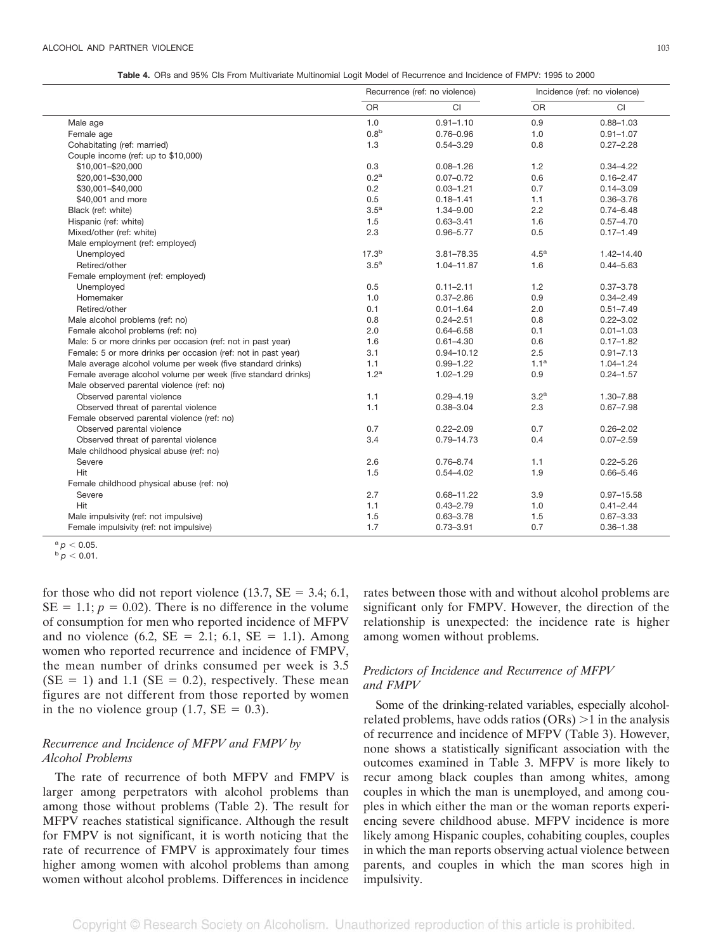|                                                               | Recurrence (ref: no violence) |                | Incidence (ref: no violence) |                |
|---------------------------------------------------------------|-------------------------------|----------------|------------------------------|----------------|
|                                                               | <b>OR</b>                     | CI             | <b>OR</b>                    | <b>CI</b>      |
| Male age                                                      | 1.0                           | $0.91 - 1.10$  | 0.9                          | $0.88 - 1.03$  |
| Female age                                                    | 0.8 <sup>b</sup>              | $0.76 - 0.96$  | 1.0                          | $0.91 - 1.07$  |
| Cohabitating (ref: married)                                   | 1.3                           | $0.54 - 3.29$  | 0.8                          | $0.27 - 2.28$  |
| Couple income (ref: up to \$10,000)                           |                               |                |                              |                |
| \$10,001-\$20,000                                             | 0.3                           | $0.08 - 1.26$  | 1.2                          | $0.34 - 4.22$  |
| \$20,001-\$30,000                                             | 0.2 <sup>a</sup>              | $0.07 - 0.72$  | 0.6                          | $0.16 - 2.47$  |
| \$30,001-\$40,000                                             | 0.2                           | $0.03 - 1.21$  | 0.7                          | $0.14 - 3.09$  |
| \$40,001 and more                                             | 0.5                           | $0.18 - 1.41$  | 1.1                          | $0.36 - 3.76$  |
| Black (ref: white)                                            | 3.5 <sup>a</sup>              | 1.34-9.00      | 2.2                          | $0.74 - 6.48$  |
| Hispanic (ref: white)                                         | 1.5                           | $0.63 - 3.41$  | 1.6                          | $0.57 - 4.70$  |
| Mixed/other (ref: white)                                      | 2.3                           | $0.96 - 5.77$  | 0.5                          | $0.17 - 1.49$  |
| Male employment (ref: employed)                               |                               |                |                              |                |
| Unemployed                                                    | 17.3 <sup>b</sup>             | $3.81 - 78.35$ | 4.5 <sup>a</sup>             | 1.42-14.40     |
| Retired/other                                                 | 3.5 <sup>a</sup>              | 1.04-11.87     | 1.6                          | $0.44 - 5.63$  |
| Female employment (ref: employed)                             |                               |                |                              |                |
| Unemployed                                                    | 0.5                           | $0.11 - 2.11$  | 1.2                          | $0.37 - 3.78$  |
| Homemaker                                                     | 1.0                           | $0.37 - 2.86$  | 0.9                          | $0.34 - 2.49$  |
| Retired/other                                                 | 0.1                           | $0.01 - 1.64$  | 2.0                          | $0.51 - 7.49$  |
| Male alcohol problems (ref: no)                               | 0.8                           | $0.24 - 2.51$  | 0.8                          | $0.22 - 3.02$  |
| Female alcohol problems (ref: no)                             | 2.0                           | $0.64 - 6.58$  | 0.1                          | $0.01 - 1.03$  |
| Male: 5 or more drinks per occasion (ref: not in past year)   | 1.6                           | $0.61 - 4.30$  | 0.6                          | $0.17 - 1.82$  |
| Female: 5 or more drinks per occasion (ref: not in past year) | 3.1                           | $0.94 - 10.12$ | 2.5                          | $0.91 - 7.13$  |
| Male average alcohol volume per week (five standard drinks)   | 1.1                           | $0.99 - 1.22$  | 1.1 <sup>a</sup>             | $1.04 - 1.24$  |
| Female average alcohol volume per week (five standard drinks) | 1.2 <sup>a</sup>              | $1.02 - 1.29$  | 0.9                          | $0.24 - 1.57$  |
| Male observed parental violence (ref: no)                     |                               |                |                              |                |
| Observed parental violence                                    | 1.1                           | $0.29 - 4.19$  | 3.2 <sup>a</sup>             | 1.30-7.88      |
| Observed threat of parental violence                          | 1.1                           | $0.38 - 3.04$  | 2.3                          | $0.67 - 7.98$  |
| Female observed parental violence (ref: no)                   |                               |                |                              |                |
| Observed parental violence                                    | 0.7                           | $0.22 - 2.09$  | 0.7                          | $0.26 - 2.02$  |
| Observed threat of parental violence                          | 3.4                           | $0.79 - 14.73$ | 0.4                          | $0.07 - 2.59$  |
| Male childhood physical abuse (ref: no)                       |                               |                |                              |                |
| Severe                                                        | 2.6                           | $0.76 - 8.74$  | 1.1                          | $0.22 - 5.26$  |
| Hit                                                           | 1.5                           | $0.54 - 4.02$  | 1.9                          | $0.66 - 5.46$  |
| Female childhood physical abuse (ref: no)                     |                               |                |                              |                |
| Severe                                                        | 2.7                           | $0.68 - 11.22$ | 3.9                          | $0.97 - 15.58$ |
| Hit                                                           | 1.1                           | $0.43 - 2.79$  | 1.0                          | $0.41 - 2.44$  |
| Male impulsivity (ref: not impulsive)                         | 1.5                           | $0.63 - 3.78$  | 1.5                          | $0.67 - 3.33$  |
| Female impulsivity (ref: not impulsive)                       | 1.7                           | $0.73 - 3.91$  | 0.7                          | $0.36 - 1.38$  |

 $a$   $p$  < 0.05.

 $\frac{b}{p}$   $> 0.01$ .

for those who did not report violence  $(13.7, SE = 3.4; 6.1,$  $SE = 1.1; p = 0.02$ ). There is no difference in the volume of consumption for men who reported incidence of MFPV and no violence  $(6.2, SE = 2.1; 6.1, SE = 1.1)$ . Among women who reported recurrence and incidence of FMPV, the mean number of drinks consumed per week is 3.5  $(SE = 1)$  and 1.1  $(SE = 0.2)$ , respectively. These mean figures are not different from those reported by women in the no violence group  $(1.7, SE = 0.3)$ .

# *Recurrence and Incidence of MFPV and FMPV by Alcohol Problems*

The rate of recurrence of both MFPV and FMPV is larger among perpetrators with alcohol problems than among those without problems (Table 2). The result for MFPV reaches statistical significance. Although the result for FMPV is not significant, it is worth noticing that the rate of recurrence of FMPV is approximately four times higher among women with alcohol problems than among women without alcohol problems. Differences in incidence rates between those with and without alcohol problems are significant only for FMPV. However, the direction of the relationship is unexpected: the incidence rate is higher among women without problems.

# *Predictors of Incidence and Recurrence of MFPV and FMPV*

Some of the drinking-related variables, especially alcoholrelated problems, have odds ratios  $(ORs) > 1$  in the analysis of recurrence and incidence of MFPV (Table 3). However, none shows a statistically significant association with the outcomes examined in Table 3. MFPV is more likely to recur among black couples than among whites, among couples in which the man is unemployed, and among couples in which either the man or the woman reports experiencing severe childhood abuse. MFPV incidence is more likely among Hispanic couples, cohabiting couples, couples in which the man reports observing actual violence between parents, and couples in which the man scores high in impulsivity.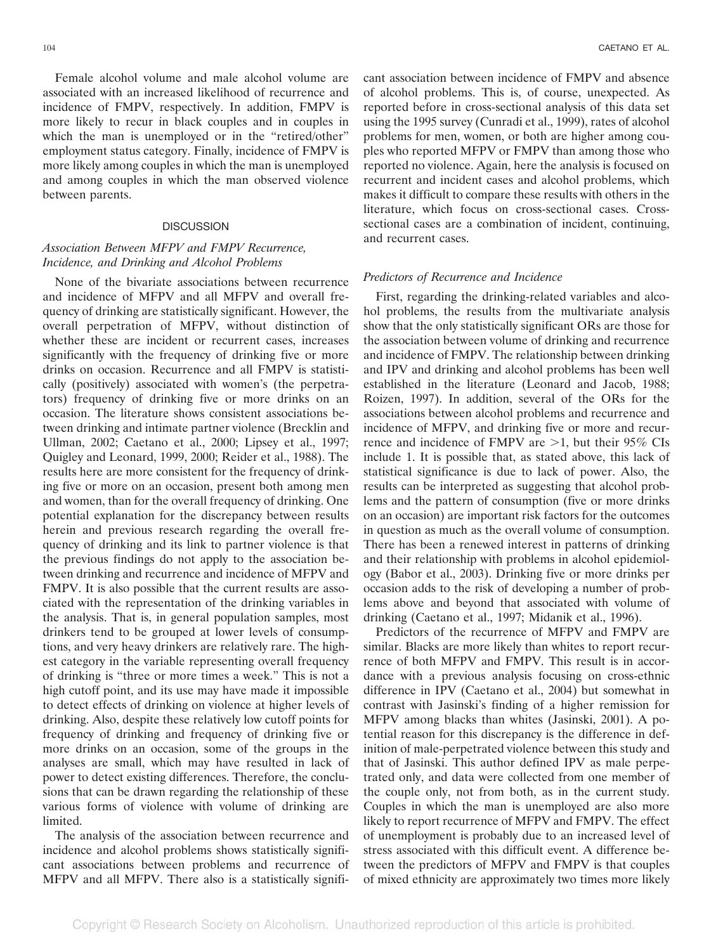Female alcohol volume and male alcohol volume are associated with an increased likelihood of recurrence and incidence of FMPV, respectively. In addition, FMPV is more likely to recur in black couples and in couples in which the man is unemployed or in the "retired/other" employment status category. Finally, incidence of FMPV is more likely among couples in which the man is unemployed and among couples in which the man observed violence between parents.

# **DISCUSSION**

# *Association Between MFPV and FMPV Recurrence, Incidence, and Drinking and Alcohol Problems*

None of the bivariate associations between recurrence and incidence of MFPV and all MFPV and overall frequency of drinking are statistically significant. However, the overall perpetration of MFPV, without distinction of whether these are incident or recurrent cases, increases significantly with the frequency of drinking five or more drinks on occasion. Recurrence and all FMPV is statistically (positively) associated with women's (the perpetrators) frequency of drinking five or more drinks on an occasion. The literature shows consistent associations between drinking and intimate partner violence (Brecklin and Ullman, 2002; Caetano et al., 2000; Lipsey et al., 1997; Quigley and Leonard, 1999, 2000; Reider et al., 1988). The results here are more consistent for the frequency of drinking five or more on an occasion, present both among men and women, than for the overall frequency of drinking. One potential explanation for the discrepancy between results herein and previous research regarding the overall frequency of drinking and its link to partner violence is that the previous findings do not apply to the association between drinking and recurrence and incidence of MFPV and FMPV. It is also possible that the current results are associated with the representation of the drinking variables in the analysis. That is, in general population samples, most drinkers tend to be grouped at lower levels of consumptions, and very heavy drinkers are relatively rare. The highest category in the variable representing overall frequency of drinking is "three or more times a week." This is not a high cutoff point, and its use may have made it impossible to detect effects of drinking on violence at higher levels of drinking. Also, despite these relatively low cutoff points for frequency of drinking and frequency of drinking five or more drinks on an occasion, some of the groups in the analyses are small, which may have resulted in lack of power to detect existing differences. Therefore, the conclusions that can be drawn regarding the relationship of these various forms of violence with volume of drinking are limited.

The analysis of the association between recurrence and incidence and alcohol problems shows statistically significant associations between problems and recurrence of MFPV and all MFPV. There also is a statistically significant association between incidence of FMPV and absence of alcohol problems. This is, of course, unexpected. As reported before in cross-sectional analysis of this data set using the 1995 survey (Cunradi et al., 1999), rates of alcohol problems for men, women, or both are higher among couples who reported MFPV or FMPV than among those who reported no violence. Again, here the analysis is focused on recurrent and incident cases and alcohol problems, which makes it difficult to compare these results with others in the literature, which focus on cross-sectional cases. Crosssectional cases are a combination of incident, continuing, and recurrent cases.

# *Predictors of Recurrence and Incidence*

First, regarding the drinking-related variables and alcohol problems, the results from the multivariate analysis show that the only statistically significant ORs are those for the association between volume of drinking and recurrence and incidence of FMPV. The relationship between drinking and IPV and drinking and alcohol problems has been well established in the literature (Leonard and Jacob, 1988; Roizen, 1997). In addition, several of the ORs for the associations between alcohol problems and recurrence and incidence of MFPV, and drinking five or more and recurrence and incidence of FMPV are  $>1$ , but their 95% CIs include 1. It is possible that, as stated above, this lack of statistical significance is due to lack of power. Also, the results can be interpreted as suggesting that alcohol problems and the pattern of consumption (five or more drinks on an occasion) are important risk factors for the outcomes in question as much as the overall volume of consumption. There has been a renewed interest in patterns of drinking and their relationship with problems in alcohol epidemiology (Babor et al., 2003). Drinking five or more drinks per occasion adds to the risk of developing a number of problems above and beyond that associated with volume of drinking (Caetano et al., 1997; Midanik et al., 1996).

Predictors of the recurrence of MFPV and FMPV are similar. Blacks are more likely than whites to report recurrence of both MFPV and FMPV. This result is in accordance with a previous analysis focusing on cross-ethnic difference in IPV (Caetano et al., 2004) but somewhat in contrast with Jasinski's finding of a higher remission for MFPV among blacks than whites (Jasinski, 2001). A potential reason for this discrepancy is the difference in definition of male-perpetrated violence between this study and that of Jasinski. This author defined IPV as male perpetrated only, and data were collected from one member of the couple only, not from both, as in the current study. Couples in which the man is unemployed are also more likely to report recurrence of MFPV and FMPV. The effect of unemployment is probably due to an increased level of stress associated with this difficult event. A difference between the predictors of MFPV and FMPV is that couples of mixed ethnicity are approximately two times more likely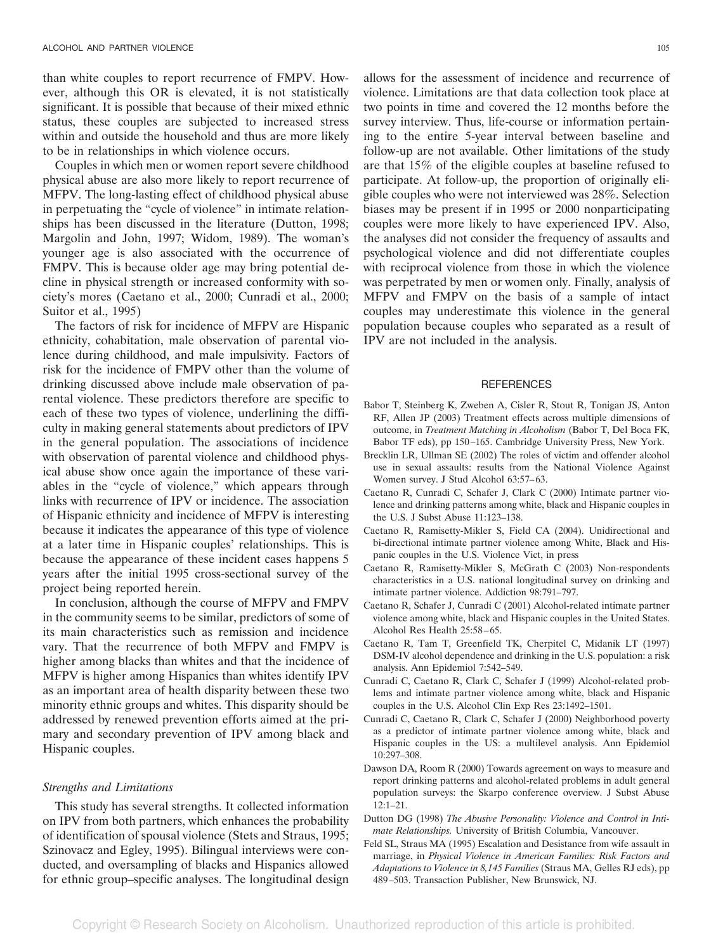than white couples to report recurrence of FMPV. However, although this OR is elevated, it is not statistically significant. It is possible that because of their mixed ethnic status, these couples are subjected to increased stress within and outside the household and thus are more likely to be in relationships in which violence occurs.

Couples in which men or women report severe childhood physical abuse are also more likely to report recurrence of MFPV. The long-lasting effect of childhood physical abuse in perpetuating the "cycle of violence" in intimate relationships has been discussed in the literature (Dutton, 1998; Margolin and John, 1997; Widom, 1989). The woman's younger age is also associated with the occurrence of FMPV. This is because older age may bring potential decline in physical strength or increased conformity with society's mores (Caetano et al., 2000; Cunradi et al., 2000; Suitor et al., 1995)

The factors of risk for incidence of MFPV are Hispanic ethnicity, cohabitation, male observation of parental violence during childhood, and male impulsivity. Factors of risk for the incidence of FMPV other than the volume of drinking discussed above include male observation of parental violence. These predictors therefore are specific to each of these two types of violence, underlining the difficulty in making general statements about predictors of IPV in the general population. The associations of incidence with observation of parental violence and childhood physical abuse show once again the importance of these variables in the "cycle of violence," which appears through links with recurrence of IPV or incidence. The association of Hispanic ethnicity and incidence of MFPV is interesting because it indicates the appearance of this type of violence at a later time in Hispanic couples' relationships. This is because the appearance of these incident cases happens 5 years after the initial 1995 cross-sectional survey of the project being reported herein.

In conclusion, although the course of MFPV and FMPV in the community seems to be similar, predictors of some of its main characteristics such as remission and incidence vary. That the recurrence of both MFPV and FMPV is higher among blacks than whites and that the incidence of MFPV is higher among Hispanics than whites identify IPV as an important area of health disparity between these two minority ethnic groups and whites. This disparity should be addressed by renewed prevention efforts aimed at the primary and secondary prevention of IPV among black and Hispanic couples.

#### *Strengths and Limitations*

This study has several strengths. It collected information on IPV from both partners, which enhances the probability of identification of spousal violence (Stets and Straus, 1995; Szinovacz and Egley, 1995). Bilingual interviews were conducted, and oversampling of blacks and Hispanics allowed for ethnic group–specific analyses. The longitudinal design allows for the assessment of incidence and recurrence of violence. Limitations are that data collection took place at two points in time and covered the 12 months before the survey interview. Thus, life-course or information pertaining to the entire 5-year interval between baseline and follow-up are not available. Other limitations of the study are that 15% of the eligible couples at baseline refused to participate. At follow-up, the proportion of originally eligible couples who were not interviewed was 28%. Selection biases may be present if in 1995 or 2000 nonparticipating couples were more likely to have experienced IPV. Also, the analyses did not consider the frequency of assaults and psychological violence and did not differentiate couples with reciprocal violence from those in which the violence was perpetrated by men or women only. Finally, analysis of MFPV and FMPV on the basis of a sample of intact couples may underestimate this violence in the general population because couples who separated as a result of IPV are not included in the analysis.

## **REFERENCES**

- Babor T, Steinberg K, Zweben A, Cisler R, Stout R, Tonigan JS, Anton RF, Allen JP (2003) Treatment effects across multiple dimensions of outcome, in *Treatment Matching in Alcoholism* (Babor T, Del Boca FK, Babor TF eds), pp 150-165. Cambridge University Press, New York.
- Brecklin LR, Ullman SE (2002) The roles of victim and offender alcohol use in sexual assaults: results from the National Violence Against Women survey. J Stud Alcohol 63:57-63.
- Caetano R, Cunradi C, Schafer J, Clark C (2000) Intimate partner violence and drinking patterns among white, black and Hispanic couples in the U.S. J Subst Abuse 11:123–138.
- Caetano R, Ramisetty-Mikler S, Field CA (2004). Unidirectional and bi-directional intimate partner violence among White, Black and Hispanic couples in the U.S. Violence Vict, in press
- Caetano R, Ramisetty-Mikler S, McGrath C (2003) Non-respondents characteristics in a U.S. national longitudinal survey on drinking and intimate partner violence. Addiction 98:791–797.
- Caetano R, Schafer J, Cunradi C (2001) Alcohol-related intimate partner violence among white, black and Hispanic couples in the United States. Alcohol Res Health 25:58 – 65.
- Caetano R, Tam T, Greenfield TK, Cherpitel C, Midanik LT (1997) DSM-IV alcohol dependence and drinking in the U.S. population: a risk analysis. Ann Epidemiol 7:542–549.
- Cunradi C, Caetano R, Clark C, Schafer J (1999) Alcohol-related problems and intimate partner violence among white, black and Hispanic couples in the U.S. Alcohol Clin Exp Res 23:1492–1501.
- Cunradi C, Caetano R, Clark C, Schafer J (2000) Neighborhood poverty as a predictor of intimate partner violence among white, black and Hispanic couples in the US: a multilevel analysis. Ann Epidemiol 10:297–308.
- Dawson DA, Room R (2000) Towards agreement on ways to measure and report drinking patterns and alcohol-related problems in adult general population surveys: the Skarpo conference overview. J Subst Abuse 12:1–21.
- Dutton DG (1998) *The Abusive Personality: Violence and Control in Intimate Relationships.* University of British Columbia, Vancouver.
- Feld SL, Straus MA (1995) Escalation and Desistance from wife assault in marriage, in *Physical Violence in American Families: Risk Factors and Adaptations to Violence in 8,145 Families* (Straus MA, Gelles RJ eds), pp 489 –503. Transaction Publisher, New Brunswick, NJ.